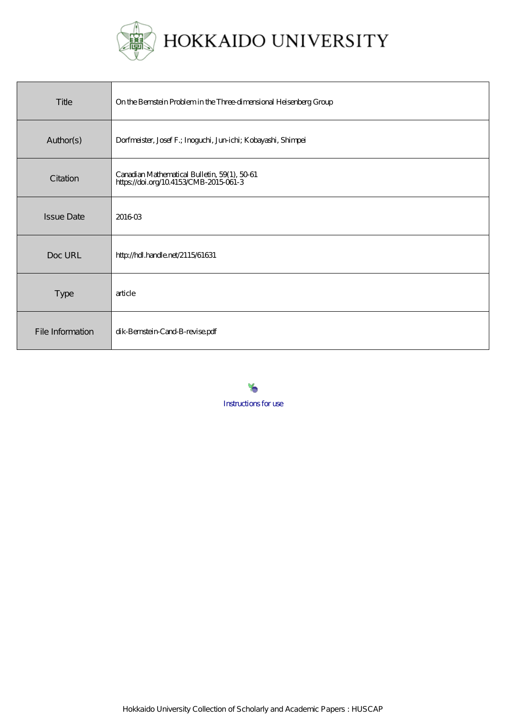

| Title             | On the Bernstein Problem in the Three-dimensional Heisenberg Group                    |
|-------------------|---------------------------------------------------------------------------------------|
| Author(s)         | Dorfmeister, Josef F.; Inoguchi, Jun-ichi; Kobayashi, Shimpei                         |
| Citation          | Canadian Mathematical Bulletin, 59(1), 5061<br>https://doi.org/10.4153/CMB-2015-061-3 |
| <b>Issue Date</b> | 201603                                                                                |
| Doc URL           | http://hdl.handle.net/2115/61631                                                      |
| <b>Type</b>       | article                                                                               |
| File Information  | dik-Bernstein-Cand-B-revise.pdf                                                       |

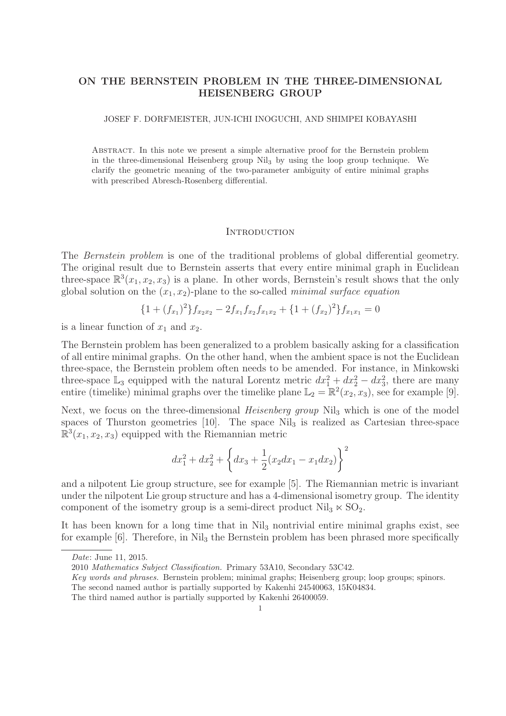# ON THE BERNSTEIN PROBLEM IN THE THREE-DIMENSIONAL HEISENBERG GROUP

JOSEF F. DORFMEISTER, JUN-ICHI INOGUCHI, AND SHIMPEI KOBAYASHI

Abstract. In this note we present a simple alternative proof for the Bernstein problem in the three-dimensional Heisenberg group Nil3 by using the loop group technique. We clarify the geometric meaning of the two-parameter ambiguity of entire minimal graphs with prescribed Abresch-Rosenberg differential.

### **INTRODUCTION**

The Bernstein problem is one of the traditional problems of global differential geometry. The original result due to Bernstein asserts that every entire minimal graph in Euclidean three-space  $\mathbb{R}^3(x_1, x_2, x_3)$  is a plane. In other words, Bernstein's result shows that the only global solution on the  $(x_1, x_2)$ -plane to the so-called *minimal surface equation* 

$$
{1 + (f_{x_1})^2} f_{x_2x_2} - 2f_{x_1}f_{x_2}f_{x_1x_2} + {1 + (f_{x_2})^2} f_{x_1x_1} = 0
$$

is a linear function of  $x_1$  and  $x_2$ .

The Bernstein problem has been generalized to a problem basically asking for a classification of all entire minimal graphs. On the other hand, when the ambient space is not the Euclidean three-space, the Bernstein problem often needs to be amended. For instance, in Minkowski three-space  $\mathbb{L}_3$  equipped with the natural Lorentz metric  $dx_1^2 + dx_2^2 - dx_3^2$ , there are many entire (timelike) minimal graphs over the timelike plane  $\mathbb{L}_2 = \mathbb{R}^2(x_2, x_3)$ , see for example [9].

Next, we focus on the three-dimensional *Heisenberg group* Nil<sub>3</sub> which is one of the model spaces of Thurston geometries  $[10]$ . The space Nil<sub>3</sub> is realized as Cartesian three-space  $\mathbb{R}^3(x_1, x_2, x_3)$  equipped with the Riemannian metric

$$
dx_1^2 + dx_2^2 + \left\{ dx_3 + \frac{1}{2} (x_2 dx_1 - x_1 dx_2) \right\}^2
$$

and a nilpotent Lie group structure, see for example [5]. The Riemannian metric is invariant under the nilpotent Lie group structure and has a 4-dimensional isometry group. The identity component of the isometry group is a semi-direct product  $\mathrm{Nil}_3 \ltimes \mathrm{SO}_2$ .

It has been known for a long time that in Nil<sub>3</sub> nontrivial entire minimal graphs exist, see for example  $[6]$ . Therefore, in Nil<sub>3</sub> the Bernstein problem has been phrased more specifically

Date: June 11, 2015.

<sup>2010</sup> Mathematics Subject Classification. Primary 53A10, Secondary 53C42.

Key words and phrases. Bernstein problem; minimal graphs; Heisenberg group; loop groups; spinors.

The second named author is partially supported by Kakenhi 24540063, 15K04834.

The third named author is partially supported by Kakenhi 26400059.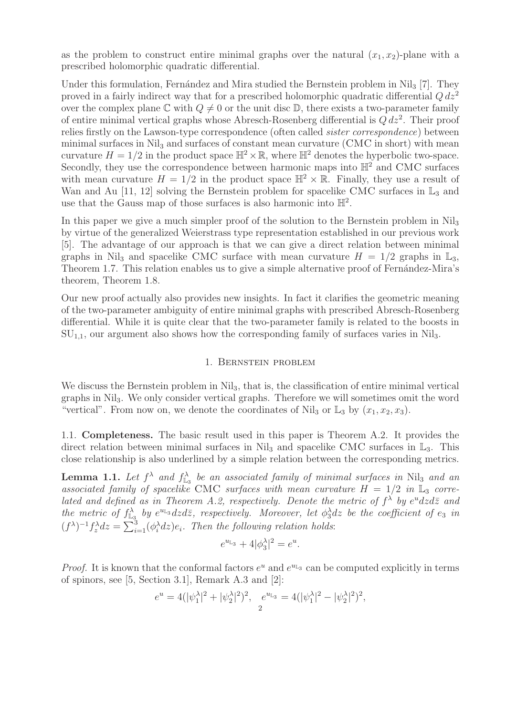as the problem to construct entire minimal graphs over the natural  $(x_1, x_2)$ -plane with a prescribed holomorphic quadratic differential.

Under this formulation, Fernández and Mira studied the Bernstein problem in Nil<sub>3</sub> [7]. They proved in a fairly indirect way that for a prescribed holomorphic quadratic differential  $Q dz^2$ over the complex plane  $\mathbb C$  with  $Q \neq 0$  or the unit disc  $\mathbb D$ , there exists a two-parameter family of entire minimal vertical graphs whose Abresch-Rosenberg differential is  $Q dz^2$ . Their proof relies firstly on the Lawson-type correspondence (often called sister correspondence) between minimal surfaces in  $\mathrm{Nil}_3$  and surfaces of constant mean curvature (CMC in short) with mean curvature  $H = 1/2$  in the product space  $\mathbb{H}^2 \times \mathbb{R}$ , where  $\mathbb{H}^2$  denotes the hyperbolic two-space. Secondly, they use the correspondence between harmonic maps into  $\mathbb{H}^2$  and CMC surfaces with mean curvature  $H = 1/2$  in the product space  $\mathbb{H}^2 \times \mathbb{R}$ . Finally, they use a result of Wan and Au [11, 12] solving the Bernstein problem for spacelike CMC surfaces in  $\mathbb{L}_3$  and use that the Gauss map of those surfaces is also harmonic into  $\mathbb{H}^2$ .

In this paper we give a much simpler proof of the solution to the Bernstein problem in Nil<sub>3</sub> by virtue of the generalized Weierstrass type representation established in our previous work [5]. The advantage of our approach is that we can give a direct relation between minimal graphs in Nil<sub>3</sub> and spacelike CMC surface with mean curvature  $H = 1/2$  graphs in  $\mathbb{L}_3$ , Theorem 1.7. This relation enables us to give a simple alternative proof of Fernandez-Mira's theorem, Theorem 1.8.

Our new proof actually also provides new insights. In fact it clarifies the geometric meaning of the two-parameter ambiguity of entire minimal graphs with prescribed Abresch-Rosenberg differential. While it is quite clear that the two-parameter family is related to the boosts in  $SU_{1,1}$ , our argument also shows how the corresponding family of surfaces varies in Nil<sub>3</sub>.

## 1. Bernstein problem

We discuss the Bernstein problem in  $Nil<sub>3</sub>$ , that is, the classification of entire minimal vertical graphs in Nil3. We only consider vertical graphs. Therefore we will sometimes omit the word "vertical". From now on, we denote the coordinates of Nil<sub>3</sub> or  $\mathbb{L}_3$  by  $(x_1, x_2, x_3)$ .

1.1. Completeness. The basic result used in this paper is Theorem A.2. It provides the direct relation between minimal surfaces in  $Nil_3$  and spacelike CMC surfaces in  $\mathbb{L}_3$ . This close relationship is also underlined by a simple relation between the corresponding metrics.

**Lemma 1.1.** Let  $f^{\lambda}$  and  $f_{\mathbb{L}_3}^{\lambda}$  be an associated family of minimal surfaces in Nil<sub>3</sub> and an associated family of spacelike CMC surfaces with mean curvature  $H = 1/2$  in  $\mathbb{L}_3$  correlated and defined as in Theorem A.2, respectively. Denote the metric of  $f^{\lambda}$  by  $e^{u}dzd\overline{z}$  and the metric of  $f_{\mathbb{L}_3}^{\lambda}$  by  $e^{u_{\mathbb{L}_3}}dzd\bar{z}$ , respectively. Moreover, let  $\phi_3^{\lambda}dz$  be the coefficient of  $e_3$  in  $(f^{\lambda})^{-1} f_z^{\lambda} dz = \sum_{i=1}^{3} (\phi_i^{\lambda} dz) e_i$ . Then the following relation holds:

$$
e^{u_{\mathbb{L}3}} + 4|\phi_3^{\lambda}|^2 = e^u.
$$

*Proof.* It is known that the conformal factors  $e^u$  and  $e^{u_{\text{L}_3}}$  can be computed explicitly in terms of spinors, see [5, Section 3.1], Remark A.3 and [2]:

$$
e^u=4(|\psi^\lambda_1|^2+|\psi^\lambda_2|^2)^2,\ \ e^{u_{\mathbb L_3}}=4(|\psi^\lambda_1|^2-|\psi^\lambda_2|^2)^2,
$$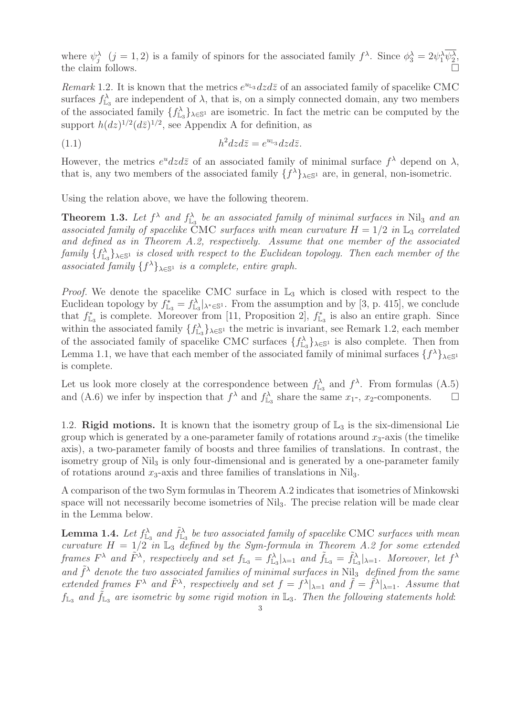where  $\psi_j^{\lambda}$   $(j = 1, 2)$  is a family of spinors for the associated family  $f^{\lambda}$ . Since  $\phi_3^{\lambda} = 2\psi_1^{\lambda}\psi_2^{\lambda}$ , the claim follows.  $\Box$ 

Remark 1.2. It is known that the metrics  $e^{u_{\text{L}_3}}dzd\bar{z}$  of an associated family of spacelike CMC surfaces  $f_{\mathbb{L}_3}^{\lambda}$  are independent of  $\lambda$ , that is, on a simply connected domain, any two members of the associated family  $\{f_{\mathbb{L}_3}^{\lambda}\}_{\lambda \in \mathbb{S}^1}$  are isometric. In fact the metric can be computed by the support  $h(dz)^{1/2}(d\bar{z})^{1/2}$ , see Appendix A for definition, as

$$
(1.1) \t\t\t h^2 dz d\bar{z} = e^{u_{\mathbb{L}_3}} dz d\bar{z}.
$$

However, the metrics  $e^u dz d\bar{z}$  of an associated family of minimal surface  $f^{\lambda}$  depend on  $\lambda$ , that is, any two members of the associated family  $\{f^{\lambda}\}_{\lambda \in \mathbb{S}^1}$  are, in general, non-isometric.

Using the relation above, we have the following theorem.

**Theorem 1.3.** Let  $f^{\lambda}$  and  $f_{\mathbb{L}_3}^{\lambda}$  be an associated family of minimal surfaces in Nil<sub>3</sub> and an associated family of spacelike CMC surfaces with mean curvature  $H = 1/2$  in  $\mathbb{L}_3$  correlated and defined as in Theorem A.2, respectively. Assume that one member of the associated  $family \{f_{\mathbb{L}_3}^{\lambda}\}_{\lambda \in \mathbb{S}^1}$  is closed with respect to the Euclidean topology. Then each member of the associated family  $\{f^{\lambda}\}_{\lambda \in \mathbb{S}^1}$  is a complete, entire graph.

*Proof.* We denote the spacelike CMC surface in  $\mathbb{L}_3$  which is closed with respect to the Euclidean topology by  $f_{\mathbb{L}_3}^* = f_{\mathbb{L}_3}^{\lambda}|_{\lambda^* \in \mathbb{S}^1}$ . From the assumption and by [3, p. 415], we conclude that  $f_{\mathbb{L}_3}^*$  is complete. Moreover from [11, Proposition 2],  $f_{\mathbb{L}_3}^*$  is also an entire graph. Since within the associated family  $\{f_{\mathbb{L}_3}^{\lambda}\}_{\lambda \in \mathbb{S}^1}$  the metric is invariant, see Remark 1.2, each member of the associated family of spacelike CMC surfaces  $\{f_{\mathbb{L}_3}^{\lambda}\}_{\lambda \in \mathbb{S}^1}$  is also complete. Then from Lemma 1.1, we have that each member of the associated family of minimal surfaces  $\{f^{\lambda}\}_{\lambda \in \mathbb{S}^1}$ is complete.

Let us look more closely at the correspondence between  $f_{\mathbb{L}_3}^{\lambda}$  and  $f^{\lambda}$ . From formulas (A.5) and (A.6) we infer by inspection that  $f^{\lambda}$  and  $f^{\lambda}_{\mathbb{L}_3}$  share the same  $x_1$ -,  $x_2$ -components.  $\Box$ 

1.2. Rigid motions. It is known that the isometry group of  $\mathbb{L}_3$  is the six-dimensional Lie group which is generated by a one-parameter family of rotations around  $x_3$ -axis (the timelike axis), a two-parameter family of boosts and three families of translations. In contrast, the isometry group of Nil<sub>3</sub> is only four-dimensional and is generated by a one-parameter family of rotations around  $x_3$ -axis and three families of translations in Nil<sub>3</sub>.

A comparison of the two Sym formulas in Theorem A.2 indicates that isometries of Minkowski space will not necessarily become isometries of Nil<sub>3</sub>. The precise relation will be made clear in the Lemma below.

**Lemma 1.4.** Let  $f_{\mathbb{L}_3}^{\lambda}$  and  $\tilde{f}_{\mathbb{L}_3}^{\lambda}$  be two associated family of spacelike CMC surfaces with mean curvature  $H = 1/2$  in  $\mathbb{L}_3$  defined by the Sym-formula in Theorem A.2 for some extended frames  $F^{\lambda}$  and  $\tilde{F}^{\lambda}$ , respectively and set  $f_{\mathbb{L}_3} = f_{\mathbb{L}_3}^{\lambda}|_{\lambda=1}$  and  $\tilde{f}_{\mathbb{L}_3} = \tilde{f}_{\mathbb{L}_3}^{\lambda}|_{\lambda=1}$ . Moreover, let  $f^{\lambda}$ and  $\tilde{f}^{\lambda}$  denote the two associated families of minimal surfaces in Nil<sub>3</sub> defined from the same extended frames  $F^{\lambda}$  and  $\tilde{F}^{\lambda}$ , respectively and set  $f = f^{\lambda}|_{\lambda=1}$  and  $\tilde{f} = \tilde{f}^{\lambda}|_{\lambda=1}$ . Assume that  $f_{\mathbb{L}_3}$  and  $\tilde{f}_{\mathbb{L}_3}$  are isometric by some rigid motion in  $\mathbb{L}_3$ . Then the following statements hold: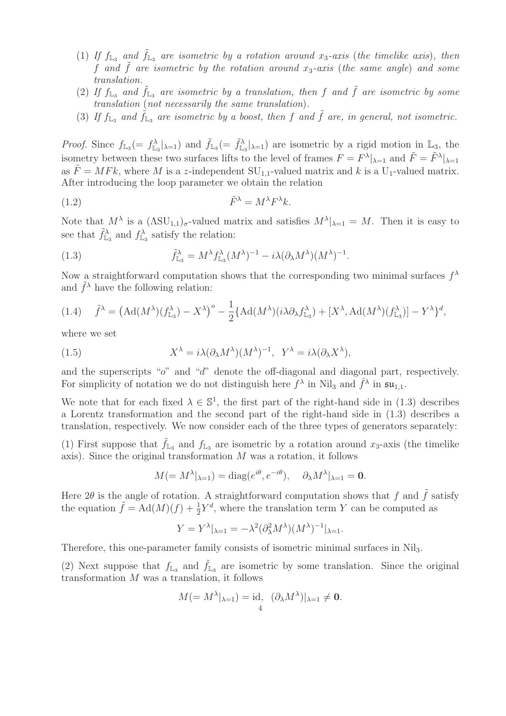- (1) If  $f_{\mathbb{L}_3}$  and  $\tilde{f}_{\mathbb{L}_3}$  are isometric by a rotation around  $x_3$ -axis (the timelike axis), then f and  $\hat{f}$  are isometric by the rotation around  $x_3$ -axis (the same angle) and some translation.
- (2) If  $f_{L_3}$  and  $\tilde{f}_{L_3}$  are isometric by a translation, then f and  $\tilde{f}$  are isometric by some translation (not necessarily the same translation).
- (3) If  $f_{\mathbb{L}_3}$  and  $\tilde{f}_{\mathbb{L}_3}$  are isometric by a boost, then f and  $\tilde{f}$  are, in general, not isometric.

*Proof.* Since  $f_{\mathbb{L}_3} = f_{\mathbb{L}_3}^{\lambda} |_{\lambda=1}$  and  $\tilde{f}_{\mathbb{L}_3} = \tilde{f}_{\mathbb{L}_3}^{\lambda} |_{\lambda=1}$  are isometric by a rigid motion in  $\mathbb{L}_3$ , the isometry between these two surfaces lifts to the level of frames  $F = F^{\lambda}|_{\lambda=1}$  and  $\tilde{F} = \tilde{F}^{\lambda}|_{\lambda=1}$ as  $\tilde{F} = M F k$ , where M is a z-independent  $SU_{1,1}$ -valued matrix and k is a  $U_1$ -valued matrix. After introducing the loop parameter we obtain the relation

$$
\tilde{F}^{\lambda} = M^{\lambda} F^{\lambda} k.
$$

Note that  $M^{\lambda}$  is a  $(\Lambda \text{SU}_{1,1})_{\sigma}$ -valued matrix and satisfies  $M^{\lambda}|_{\lambda=1} = M$ . Then it is easy to see that  $\tilde{f}_{\mathbb{L}_3}^{\lambda}$  and  $f_{\mathbb{L}_3}^{\lambda}$  satisfy the relation:

(1.3) 
$$
\tilde{f}_{\mathbb{L}_3}^{\lambda} = M^{\lambda} f_{\mathbb{L}_3}^{\lambda} (M^{\lambda})^{-1} - i \lambda (\partial_{\lambda} M^{\lambda}) (M^{\lambda})^{-1}.
$$

Now a straightforward computation shows that the corresponding two minimal surfaces  $f^{\lambda}$ and  $\tilde{f}^{\lambda}$  have the following relation:

$$
(1.4) \quad \tilde{f}^{\lambda} = \left( \mathrm{Ad}(M^{\lambda})(f^{\lambda}_{\mathbb{L}_{3}}) - X^{\lambda} \right)^{o} - \frac{1}{2} \{ \mathrm{Ad}(M^{\lambda})(i\lambda \partial_{\lambda} f^{\lambda}_{\mathbb{L}_{3}}) + [X^{\lambda}, \mathrm{Ad}(M^{\lambda})(f^{\lambda}_{\mathbb{L}_{3}})] - Y^{\lambda} \}^{d},
$$

where we set

(1.5) 
$$
X^{\lambda} = i\lambda (\partial_{\lambda} M^{\lambda})(M^{\lambda})^{-1}, \quad Y^{\lambda} = i\lambda (\partial_{\lambda} X^{\lambda}),
$$

and the superscripts "o" and "d" denote the off-diagonal and diagonal part, respectively. For simplicity of notation we do not distinguish here  $f^{\lambda}$  in Nil<sub>3</sub> and  $\hat{f}^{\lambda}$  in  $\mathfrak{su}_{1,1}$ .

We note that for each fixed  $\lambda \in \mathbb{S}^1$ , the first part of the right-hand side in (1.3) describes a Lorentz transformation and the second part of the right-hand side in (1.3) describes a translation, respectively. We now consider each of the three types of generators separately:

(1) First suppose that  $f_{L_3}$  and  $f_{L_3}$  are isometric by a rotation around  $x_3$ -axis (the timelike axis). Since the original transformation M was a rotation, it follows

$$
M(=M^{\lambda}|_{\lambda=1}) = \text{diag}(e^{i\theta}, e^{-i\theta}), \quad \partial_{\lambda}M^{\lambda}|_{\lambda=1} = \mathbf{0}.
$$

Here  $2\theta$  is the angle of rotation. A straightforward computation shows that f and  $\tilde{f}$  satisfy the equation  $\tilde{f} = \text{Ad}(M)(f) + \frac{1}{2}Y^d$ , where the translation term Y can be computed as

$$
Y = Y^{\lambda}|_{\lambda=1} = -\lambda^2 (\partial_{\lambda}^2 M^{\lambda})(M^{\lambda})^{-1}|_{\lambda=1}.
$$

Therefore, this one-parameter family consists of isometric minimal surfaces in Nil3.

(2) Next suppose that  $f_{\mathbb{L}_3}$  and  $\tilde{f}_{\mathbb{L}_3}$  are isometric by some translation. Since the original transformation M was a translation, it follows

$$
M(=M^{\lambda}|_{\lambda=1})=\mathrm{id}, \ \ (\partial_{\lambda}M^{\lambda})|_{\lambda=1}\neq 0.
$$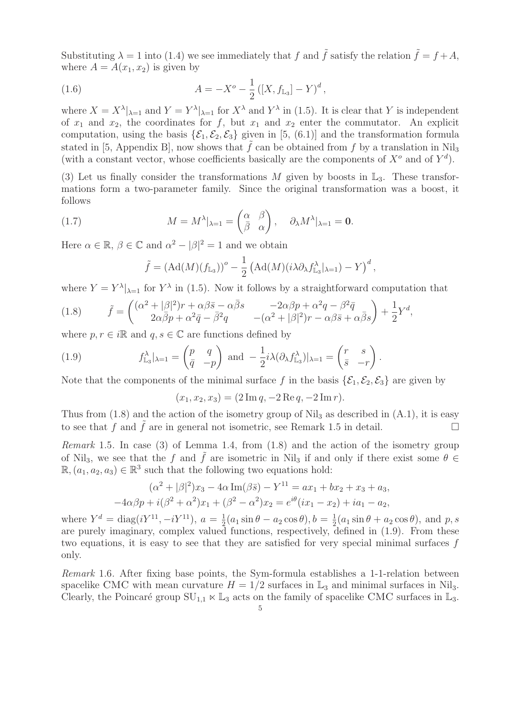Substituting  $\lambda = 1$  into (1.4) we see immediately that f and  $\tilde{f}$  satisfy the relation  $\tilde{f} = f + A$ , where  $A = A(x_1, x_2)$  is given by

(1.6) 
$$
A = -X^{o} - \frac{1}{2} ([X, f_{L_{3}}] - Y)^{d},
$$

where  $X = X^{\lambda}|_{\lambda=1}$  and  $Y = Y^{\lambda}|_{\lambda=1}$  for  $X^{\lambda}$  and  $Y^{\lambda}$  in (1.5). It is clear that Y is independent of  $x_1$  and  $x_2$ , the coordinates for f, but  $x_1$  and  $x_2$  enter the commutator. An explicit computation, using the basis  $\{\mathcal{E}_1,\mathcal{E}_2,\mathcal{E}_3\}$  given in [5, (6.1)] and the transformation formula stated in [5, Appendix B], now shows that  $\tilde{f}$  can be obtained from f by a translation in Nil<sub>3</sub> (with a constant vector, whose coefficients basically are the components of  $X^o$  and of  $Y^d$ ).

(3) Let us finally consider the transformations M given by boosts in  $\mathbb{L}_3$ . These transformations form a two-parameter family. Since the original transformation was a boost, it follows

(1.7) 
$$
M = M^{\lambda}|_{\lambda=1} = \begin{pmatrix} \alpha & \beta \\ \bar{\beta} & \alpha \end{pmatrix}, \quad \partial_{\lambda} M^{\lambda}|_{\lambda=1} = \mathbf{0}.
$$

Here  $\alpha \in \mathbb{R}$ ,  $\beta \in \mathbb{C}$  and  $\alpha^2 - |\beta|^2 = 1$  and we obtain

$$
\tilde{f} = (\mathrm{Ad}(M)(f_{\mathbb{L}_3}))^o - \frac{1}{2} (\mathrm{Ad}(M)(i\lambda \partial_{\lambda} f_{\mathbb{L}_3}^{\lambda}|_{\lambda=1}) - Y)^d,
$$

where  $Y = Y^{\lambda}|_{\lambda=1}$  for  $Y^{\lambda}$  in (1.5). Now it follows by a straightforward computation that

(1.8) 
$$
\tilde{f} = \begin{pmatrix} (\alpha^2 + |\beta|^2) r + \alpha \beta \bar{s} - \alpha \bar{\beta} s & -2\alpha \beta p + \alpha^2 q - \beta^2 \bar{q} \\ 2\alpha \bar{\beta} p + \alpha^2 \bar{q} - \bar{\beta}^2 q & -(\alpha^2 + |\beta|^2) r - \alpha \beta \bar{s} + \alpha \bar{\beta} s \end{pmatrix} + \frac{1}{2} Y^d,
$$

where  $p, r \in i\mathbb{R}$  and  $q, s \in \mathbb{C}$  are functions defined by

(1.9) 
$$
f_{\mathbb{L}_3}^{\lambda}|_{\lambda=1} = \begin{pmatrix} p & q \\ \bar{q} & -p \end{pmatrix} \text{ and } -\frac{1}{2}i\lambda(\partial_{\lambda}f_{\mathbb{L}_3}^{\lambda})|_{\lambda=1} = \begin{pmatrix} r & s \\ \bar{s} & -r \end{pmatrix}
$$

Note that the components of the minimal surface f in the basis  $\{\mathcal{E}_1, \mathcal{E}_2, \mathcal{E}_3\}$  are given by

$$
(x_1, x_2, x_3) = (2 \operatorname{Im} q, -2 \operatorname{Re} q, -2 \operatorname{Im} r).
$$

.

Thus from  $(1.8)$  and the action of the isometry group of Nil<sub>3</sub> as described in  $(A.1)$ , it is easy to see that f and  $\tilde{f}$  are in general not isometric, see Remark 1.5 in detail.

Remark 1.5. In case (3) of Lemma 1.4, from (1.8) and the action of the isometry group of Nil<sub>3</sub>, we see that the f and  $\tilde{f}$  are isometric in Nil<sub>3</sub> if and only if there exist some  $\theta \in$  $\mathbb{R}, (a_1, a_2, a_3) \in \mathbb{R}^3$  such that the following two equations hold:

$$
(\alpha^2 + |\beta|^2)x_3 - 4\alpha \operatorname{Im}(\beta \bar{s}) - Y^{11} = ax_1 + bx_2 + x_3 + a_3,
$$
  
-4 $\alpha\beta p + i(\beta^2 + \alpha^2)x_1 + (\beta^2 - \alpha^2)x_2 = e^{i\theta}(ix_1 - x_2) + ia_1 - a_2,$ 

where  $Y^d = \text{diag}(iY^{11}, -iY^{11}), a = \frac{1}{2}$  $\frac{1}{2}(a_1\sin\theta - a_2\cos\theta), b = \frac{1}{2}$  $\frac{1}{2}(a_1\sin\theta + a_2\cos\theta)$ , and  $p, s$ are purely imaginary, complex valued functions, respectively, defined in (1.9). From these two equations, it is easy to see that they are satisfied for very special minimal surfaces f only.

Remark 1.6. After fixing base points, the Sym-formula establishes a 1-1-relation between spacelike CMC with mean curvature  $H = 1/2$  surfaces in  $\mathbb{L}_3$  and minimal surfaces in Nil<sub>3</sub>. Clearly, the Poincaré group  $SU_{1,1} \ltimes \mathbb{L}_3$  acts on the family of spacelike CMC surfaces in  $\mathbb{L}_3$ .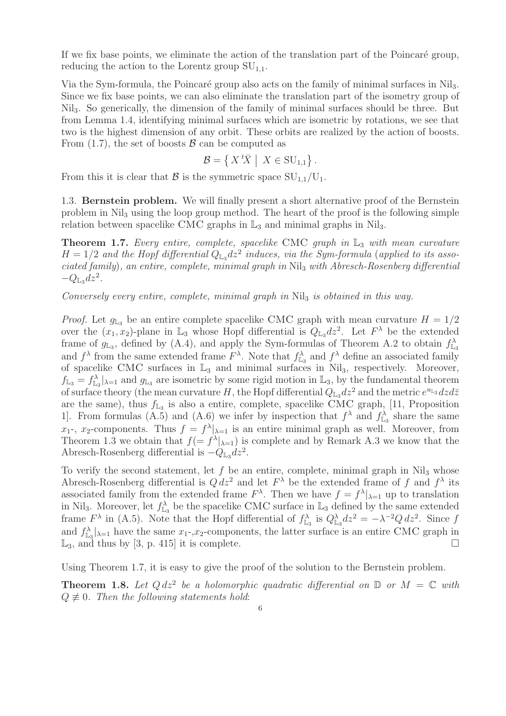If we fix base points, we eliminate the action of the translation part of the Poincaré group, reducing the action to the Lorentz group  $SU_{1,1}$ .

Via the Sym-formula, the Poincaré group also acts on the family of minimal surfaces in Nil<sub>3</sub>. Since we fix base points, we can also eliminate the translation part of the isometry group of Nil3. So generically, the dimension of the family of minimal surfaces should be three. But from Lemma 1.4, identifying minimal surfaces which are isometric by rotations, we see that two is the highest dimension of any orbit. These orbits are realized by the action of boosts. From  $(1.7)$ , the set of boosts  $\beta$  can be computed as

$$
\mathcal{B} = \left\{ X^t \overline{X} \middle| X \in SU_{1,1} \right\}.
$$

From this it is clear that  $\mathcal{B}$  is the symmetric space  $SU_{1,1}/U_1$ .

1.3. Bernstein problem. We will finally present a short alternative proof of the Bernstein problem in Nil<sup>3</sup> using the loop group method. The heart of the proof is the following simple relation between spacelike CMC graphs in  $\mathbb{L}_3$  and minimal graphs in Nil<sub>3</sub>.

**Theorem 1.7.** Every entire, complete, spacelike CMC graph in  $\mathbb{L}_3$  with mean curvature  $H = 1/2$  and the Hopf differential  $Q_{L_3}dz^2$  induces, via the Sym-formula (applied to its associated family), an entire, complete, minimal graph in Nil<sup>3</sup> with Abresch-Rosenberg differential  $-Q_{\mathbb{L}_3}dz^2$ .

Conversely every entire, complete, minimal graph in  $Nil<sub>3</sub>$  is obtained in this way.

*Proof.* Let  $g_{\mathbb{L}_3}$  be an entire complete spacelike CMC graph with mean curvature  $H = 1/2$ over the  $(x_1, x_2)$ -plane in  $\mathbb{L}_3$  whose Hopf differential is  $Q_{\mathbb{L}_3} dz^2$ . Let  $F^{\lambda}$  be the extended frame of  $g_{\mathbb{L}_3}$ , defined by (A.4), and apply the Sym-formulas of Theorem A.2 to obtain  $f_{\mathbb{L}_3}^{\lambda}$ and  $f^{\lambda}$  from the same extended frame  $F^{\lambda}$ . Note that  $f^{\lambda}_{\mathbb{L}_3}$  and  $f^{\lambda}$  define an associated family of spacelike CMC surfaces in  $L_3$  and minimal surfaces in Nil<sub>3</sub>, respectively. Moreover,  $f_{\mathbb{L}_3} = f_{\mathbb{L}_3}^{\lambda} |_{\lambda=1}$  and  $g_{\mathbb{L}_3}$  are isometric by some rigid motion in  $\mathbb{L}_3$ , by the fundamental theorem of surface theory (the mean curvature H, the Hopf differential  $Q_{\mathbb{L}_3}dz^2$  and the metric  $e^{u_{\mathbb{L}_3}}dzd\bar{z}$ are the same), thus  $f_{\mathbb{L}_3}$  is also a entire, complete, spacelike CMC graph, [11, Proposition 1. From formulas (A.5) and (A.6) we infer by inspection that  $f^{\lambda}$  and  $f^{\lambda}_{\mathbb{L}_3}$  share the same  $x_1$ -,  $x_2$ -components. Thus  $f = f^{\lambda}|_{\lambda=1}$  is an entire minimal graph as well. Moreover, from Theorem 1.3 we obtain that  $f(= f^{\lambda}|_{\lambda=1})$  is complete and by Remark A.3 we know that the Abresch-Rosenberg differential is  $-Q_{\mathbb{L}_3} dz^2$ .

To verify the second statement, let  $f$  be an entire, complete, minimal graph in Nil<sub>3</sub> whose Abresch-Rosenberg differential is  $Q dz^2$  and let  $F^{\lambda}$  be the extended frame of f and  $f^{\lambda}$  its associated family from the extended frame  $F^{\lambda}$ . Then we have  $f = f^{\lambda}|_{\lambda=1}$  up to translation in Nil<sub>3</sub>. Moreover, let  $f_{\mathbb{L}_3}^{\lambda}$  be the spacelike CMC surface in  $\mathbb{L}_3$  defined by the same extended frame  $F^{\lambda}$  in (A.5). Note that the Hopf differential of  $f_{\mathbb{L}_3}^{\lambda}$  is  $Q_{\mathbb{L}_3}^{\lambda} dz^2 = -\lambda^{-2} Q dz^2$ . Since f and  $f_{\mathbb{L}_3}^{\lambda} |_{\lambda=1}$  have the same  $x_1$ -, $x_2$ -components, the latter surface is an entire CMC graph in  $\mathbb{L}_3$ , and thus by [3, p. 415] it is complete.

Using Theorem 1.7, it is easy to give the proof of the solution to the Bernstein problem.

**Theorem 1.8.** Let  $Q dz^2$  be a holomorphic quadratic differential on  $D$  or  $M = \mathbb{C}$  with  $Q \not\equiv 0$ . Then the following statements hold: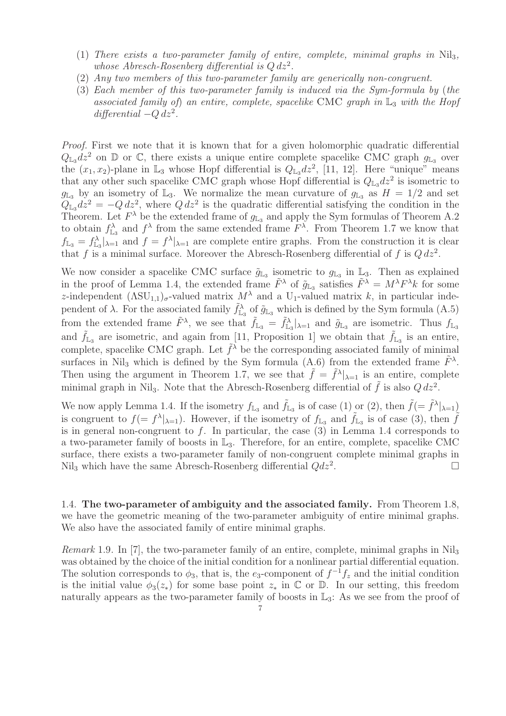- (1) There exists a two-parameter family of entire, complete, minimal graphs in  $Nil_3$ , whose Abresch-Rosenberg differential is  $Q dz^2$ .
- (2) Any two members of this two-parameter family are generically non-congruent.
- (3) Each member of this two-parameter family is induced via the Sym-formula by (the associated family of) an entire, complete, spacelike CMC graph in  $\mathbb{L}_3$  with the Hopf  $differential -Q dz<sup>2</sup>.$

Proof. First we note that it is known that for a given holomorphic quadratic differential  $Q_{\mathbb{L}_3} dz^2$  on  $\mathbb{D}$  or  $\mathbb{C}$ , there exists a unique entire complete spacelike CMC graph  $g_{\mathbb{L}_3}$  over the  $(x_1, x_2)$ -plane in  $\mathbb{L}_3$  whose Hopf differential is  $Q_{\mathbb{L}_3} dz^2$ , [11, 12]. Here "unique" means that any other such spacelike CMC graph whose Hopf differential is  $Q_{\mathbb{L}_3} dz^2$  is isometric to  $g_{\mathbb{L}_3}$  by an isometry of  $\mathbb{L}_3$ . We normalize the mean curvature of  $g_{\mathbb{L}_3}$  as  $H = 1/2$  and set  $Q_{\text{L}_3}dz^2 = -Q dz^2$ , where  $Q dz^2$  is the quadratic differential satisfying the condition in the Theorem. Let  $F^{\lambda}$  be the extended frame of  $g_{\mathbb{L}_3}$  and apply the Sym formulas of Theorem A.2 to obtain  $f_{\mathbb{L}_3}^{\lambda}$  and  $f^{\lambda}$  from the same extended frame  $F^{\lambda}$ . From Theorem 1.7 we know that  $f_{\mathbb{L}_3} = f_{\mathbb{L}_3}^{\lambda} |_{\lambda=1}$  and  $f = f^{\lambda} |_{\lambda=1}$  are complete entire graphs. From the construction it is clear that f is a minimal surface. Moreover the Abresch-Rosenberg differential of f is  $Q dz^2$ .

We now consider a spacelike CMC surface  $\tilde{g}_{\mathbb{L}_3}$  isometric to  $g_{\mathbb{L}_3}$  in  $\mathbb{L}_3$ . Then as explained in the proof of Lemma 1.4, the extended frame  $\tilde{F}^{\lambda}$  of  $\tilde{g}_{\mathbb{L}_3}$  satisfies  $\tilde{F}^{\lambda} = M^{\lambda} F^{\lambda} k$  for some z-independent  $(\text{ASU}_{1,1})_{\sigma}$ -valued matrix  $M^{\lambda}$  and a U<sub>1</sub>-valued matrix k, in particular independent of  $\lambda$ . For the associated family  $\tilde{f}_{\mathbb{L}_3}^{\lambda}$  of  $\tilde{g}_{\mathbb{L}_3}$  which is defined by the Sym formula (A.5) from the extended frame  $\tilde{F}^{\lambda}$ , we see that  $\tilde{f}_{\mathbb{L}_3} = \tilde{f}_{\mathbb{L}_3}^{\lambda} |_{\lambda=1}$  and  $\tilde{g}_{\mathbb{L}_3}$  are isometric. Thus  $f_{\mathbb{L}_3}$ and  $\tilde{f}_{L_3}$  are isometric, and again from [11, Proposition 1] we obtain that  $\tilde{f}_{L_3}$  is an entire, complete, spacelike CMC graph. Let  $\tilde{f}^{\lambda}$  be the corresponding associated family of minimal surfaces in Nil<sub>3</sub> which is defined by the Sym formula (A.6) from the extended frame  $\tilde{F}^{\lambda}$ . Then using the argument in Theorem 1.7, we see that  $\tilde{f} = \tilde{f}^{\lambda}|_{\lambda=1}$  is an entire, complete minimal graph in Nil<sub>3</sub>. Note that the Abresch-Rosenberg differential of  $\tilde{f}$  is also  $Q dz^2$ .

We now apply Lemma 1.4. If the isometry  $f_{\mathbb{L}_3}$  and  $\tilde{f}_{\mathbb{L}_3}$  is of case (1) or (2), then  $\tilde{f} = \tilde{f}^{\lambda}|_{\lambda=1}$ is congruent to  $f(= f^{\lambda}|_{\lambda=1})$ . However, if the isometry of  $f_{\mathbb{L}_3}$  and  $\tilde{f}_{\mathbb{L}_3}$  is of case (3), then  $\tilde{f}$ is in general non-congruent to  $f$ . In particular, the case  $(3)$  in Lemma 1.4 corresponds to a two-parameter family of boosts in  $\mathbb{L}_3$ . Therefore, for an entire, complete, spacelike CMC surface, there exists a two-parameter family of non-congruent complete minimal graphs in Nil<sub>3</sub> which have the same Abresch-Rosenberg differential  $Qdz^2$ . .

1.4. The two-parameter of ambiguity and the associated family. From Theorem 1.8, we have the geometric meaning of the two-parameter ambiguity of entire minimal graphs. We also have the associated family of entire minimal graphs.

*Remark* 1.9. In [7], the two-parameter family of an entire, complete, minimal graphs in Nil<sub>3</sub> was obtained by the choice of the initial condition for a nonlinear partial differential equation. The solution corresponds to  $\phi_3$ , that is, the  $e_3$ -component of  $f^{-1}f_z$  and the initial condition is the initial value  $\phi_3(z_*)$  for some base point  $z_*$  in  $\mathbb C$  or  $\mathbb D$ . In our setting, this freedom naturally appears as the two-parameter family of boosts in  $\mathbb{L}_3$ : As we see from the proof of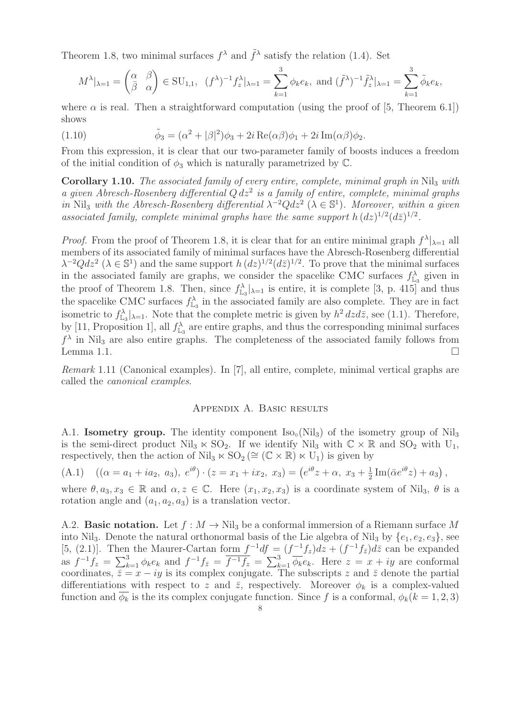Theorem 1.8, two minimal surfaces  $f^{\lambda}$  and  $\tilde{f}^{\lambda}$  satisfy the relation (1.4). Set

$$
M^{\lambda}|_{\lambda=1} = \begin{pmatrix} \alpha & \beta \\ \bar{\beta} & \alpha \end{pmatrix} \in \text{SU}_{1,1}, \ \ (f^{\lambda})^{-1} f_z^{\lambda}|_{\lambda=1} = \sum_{k=1}^3 \phi_k e_k, \text{ and } (\tilde{f}^{\lambda})^{-1} \tilde{f}_z^{\lambda}|_{\lambda=1} = \sum_{k=1}^3 \tilde{\phi}_k e_k,
$$

where  $\alpha$  is real. Then a straightforward computation (using the proof of [5, Theorem 6.1]) shows

(1.10) 
$$
\tilde{\phi}_3 = (\alpha^2 + |\beta|^2)\phi_3 + 2i \operatorname{Re}(\alpha \beta)\phi_1 + 2i \operatorname{Im}(\alpha \beta)\phi_2.
$$

From this expression, it is clear that our two-parameter family of boosts induces a freedom of the initial condition of  $\phi_3$  which is naturally parametrized by C.

Corollary 1.10. The associated family of every entire, complete, minimal graph in Nil<sub>3</sub> with a given Abresch-Rosenberg differential  $Q dz^2$  is a family of entire, complete, minimal graphs in Nil<sub>3</sub> with the Abresch-Rosenberg differential  $\lambda^{-2}Qdz^2$   $(\lambda \in \mathbb{S}^1)$ . Moreover, within a given associated family, complete minimal graphs have the same support  $h (dz)^{1/2} (d\bar{z})^{1/2}$ .

*Proof.* From the proof of Theorem 1.8, it is clear that for an entire minimal graph  $f^{\lambda}|_{\lambda=1}$  all members of its associated family of minimal surfaces have the Abresch-Rosenberg differential  $\lambda^{-2}Qdz^2$  ( $\lambda \in \mathbb{S}^1$ ) and the same support  $h(dz)^{1/2}(d\bar{z})^{1/2}$ . To prove that the minimal surfaces in the associated family are graphs, we consider the spacelike CMC surfaces  $f_{\mathbb{L}_3}^{\lambda}$  given in the proof of Theorem 1.8. Then, since  $f_{\mathbb{L}_3}^{\lambda}|_{\lambda=1}$  is entire, it is complete [3, p. 415] and thus the spacelike CMC surfaces  $f_{\mathbb{L}_3}^{\lambda}$  in the associated family are also complete. They are in fact isometric to  $f_{\mathbb{L}_3}^{\lambda}|_{\lambda=1}$ . Note that the complete metric is given by  $h^2 dz d\bar{z}$ , see (1.1). Therefore, by [11, Proposition 1], all  $f_{\mathbb{L}_3}^{\lambda}$  are entire graphs, and thus the corresponding minimal surfaces  $f^{\lambda}$  in Nil<sub>3</sub> are also entire graphs. The completeness of the associated family follows from Lemma 1.1.  $\Box$ 

Remark 1.11 (Canonical examples). In [7], all entire, complete, minimal vertical graphs are called the canonical examples.

## Appendix A. Basic results

A.1. **Isometry group.** The identity component  $\text{Iso}_{\text{o}}(\text{Nil}_3)$  of the isometry group of  $\text{Nil}_3$ is the semi-direct product Nil<sub>3</sub>  $\ltimes$  SO<sub>2</sub>. If we identify Nil<sub>3</sub> with  $\mathbb{C} \times \mathbb{R}$  and SO<sub>2</sub> with U<sub>1</sub>, respectively, then the action of Nil<sub>3</sub>  $\ltimes$  SO<sub>2</sub> ( $\cong$  ( $\mathbb{C} \times \mathbb{R}$ )  $\ltimes$  U<sub>1</sub>) is given by

(A.1) 
$$
((\alpha = a_1 + ia_2, a_3), e^{i\theta}) \cdot (z = x_1 + ix_2, x_3) = (e^{i\theta}z + \alpha, x_3 + \frac{1}{2}Im(\bar{\alpha}e^{i\theta}z) + a_3),
$$

where  $\theta, a_3, x_3 \in \mathbb{R}$  and  $\alpha, z \in \mathbb{C}$ . Here  $(x_1, x_2, x_3)$  is a coordinate system of Nil<sub>3</sub>,  $\theta$  is a rotation angle and  $(a_1, a_2, a_3)$  is a translation vector.

A.2. **Basic notation.** Let  $f : M \to \text{Nil}_3$  be a conformal immersion of a Riemann surface M into Nil<sub>3</sub>. Denote the natural orthonormal basis of the Lie algebra of Nil<sub>3</sub> by  $\{e_1, e_2, e_3\}$ , see [5, (2.1)]. Then the Maurer-Cartan form  $f^{-1}df = (f^{-1}f_z)dz + (f^{-1}f_{\bar{z}})d\bar{z}$  can be expanded as  $f^{-1}f_z = \sum_{k=1}^3 \phi_k e_k$  and  $f^{-1}f_{\bar{z}} = \overline{f^{-1}f_z} = \sum_{k=1}^3 \overline{\phi_k} e_k$ . Here  $z = x + iy$  are conformal coordinates,  $\bar{z} = x - iy$  is its complex conjugate. The subscripts z and  $\bar{z}$  denote the partial differentiations with respect to z and  $\bar{z}$ , respectively. Moreover  $\phi_k$  is a complex-valued function and  $\phi_k$  is the its complex conjugate function. Since f is a conformal,  $\phi_k(k=1,2,3)$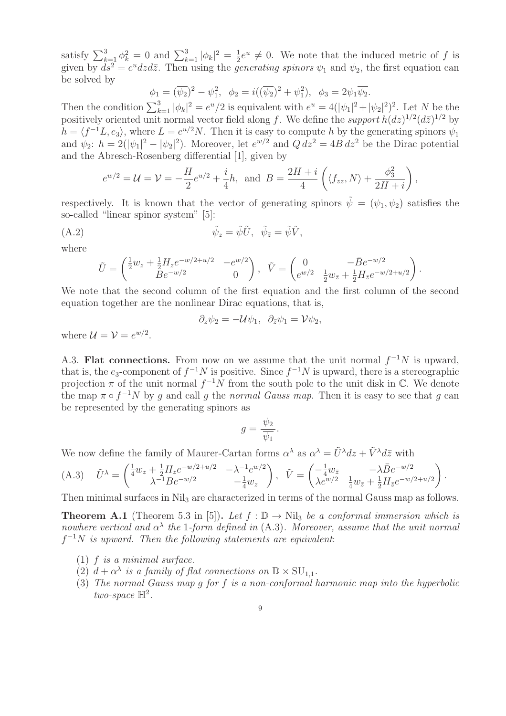satisfy  $\sum_{k=1}^{3} \phi_k^2 = 0$  and  $\sum_{k=1}^{3} |\phi_k|^2 = \frac{1}{2}$  $\frac{1}{2}e^u \neq 0$ . We note that the induced metric of f is given by  $ds^2 = e^u dz d\bar{z}$ . Then using the *generating spinors*  $\psi_1$  and  $\psi_2$ , the first equation can be solved by

$$
\phi_1 = (\overline{\psi_2})^2 - \psi_1^2, \quad \phi_2 = i((\overline{\psi_2})^2 + \psi_1^2), \quad \phi_3 = 2\psi_1\overline{\psi_2}.
$$

Then the condition  $\sum_{k=1}^{3} |\phi_k|^2 = e^u/2$  is equivalent with  $e^u = 4(|\psi_1|^2 + |\psi_2|^2)^2$ . Let N be the positively oriented unit normal vector field along f. We define the support  $h(dz)^{1/2}(d\bar{z})^{1/2}$  by  $h = \langle f^{-1}L, e_3 \rangle$ , where  $L = e^{u/2}N$ . Then it is easy to compute h by the generating spinors  $\psi_1$ and  $\psi_2$ :  $h = 2(|\psi_1|^2 - |\psi_2|^2)$ . Moreover, let  $e^{w/2}$  and  $Q dz^2 = 4B dz^2$  be the Dirac potential and the Abresch-Rosenberg differential [1], given by

$$
e^{w/2} = \mathcal{U} = \mathcal{V} = -\frac{H}{2}e^{u/2} + \frac{i}{4}h, \text{ and } B = \frac{2H+i}{4}\left(\langle f_{zz}, N \rangle + \frac{\phi_3^2}{2H+i}\right),
$$

respectively. It is known that the vector of generating spinors  $\tilde{\psi} = (\psi_1, \psi_2)$  satisfies the so-called "linear spinor system" [5]:

$$
\tilde{\psi}_z = \tilde{\psi}\tilde{U}, \quad \tilde{\psi}_{\bar{z}} = \tilde{\psi}\tilde{V},
$$

where

$$
\tilde{U} = \begin{pmatrix} \frac{1}{2}w_z + \frac{1}{2}H_z e^{-w/2 + u/2} & -e^{w/2} \\ Be^{-w/2} & 0 \end{pmatrix}, \quad \tilde{V} = \begin{pmatrix} 0 & -\bar{B}e^{-w/2} \\ e^{w/2} & \frac{1}{2}w_{\bar{z}} + \frac{1}{2}H_{\bar{z}}e^{-w/2 + u/2} \end{pmatrix}
$$

.

We note that the second column of the first equation and the first column of the second equation together are the nonlinear Dirac equations, that is,

$$
\partial_z \psi_2 = -\mathcal{U}\psi_1, \ \ \partial_{\bar{z}} \psi_1 = \mathcal{V}\psi_2,
$$

where  $\mathcal{U} = \mathcal{V} = e^{w/2}$ .

A.3. Flat connections. From now on we assume that the unit normal  $f^{-1}N$  is upward, that is, the  $e_3$ -component of  $f^{-1}N$  is positive. Since  $f^{-1}N$  is upward, there is a stereographic projection  $\pi$  of the unit normal  $f^{-1}N$  from the south pole to the unit disk in  $\mathbb{C}$ . We denote the map  $\pi \circ f^{-1}N$  by g and call g the normal Gauss map. Then it is easy to see that g can be represented by the generating spinors as

$$
g = \frac{\psi_2}{\overline{\psi_1}}.
$$

We now define the family of Maurer-Cartan forms  $\alpha^{\lambda}$  as  $\alpha^{\lambda} = \tilde{U}^{\lambda} dz + \tilde{V}^{\lambda} d\bar{z}$  with

(A.3) 
$$
\tilde{U}^{\lambda} = \begin{pmatrix} \frac{1}{4}w_{z} + \frac{1}{2}H_{z}e^{-w/2 + u/2} & -\lambda^{-1}e^{w/2} \\ \lambda^{-1}Be^{-w/2} & -\frac{1}{4}w_{z} \end{pmatrix}, \quad \tilde{V} = \begin{pmatrix} -\frac{1}{4}w_{\bar{z}} & -\lambda\bar{B}e^{-w/2} \\ \lambda e^{w/2} & \frac{1}{4}w_{\bar{z}} + \frac{1}{2}H_{\bar{z}}e^{-w/2 + u/2} \end{pmatrix}.
$$

Then minimal surfaces in Nil<sub>3</sub> are characterized in terms of the normal Gauss map as follows.

**Theorem A.1** (Theorem 5.3 in [5]). Let  $f : \mathbb{D} \to \text{Nil}_3$  be a conformal immersion which is nowhere vertical and  $\alpha^{\lambda}$  the 1-form defined in (A.3). Moreover, assume that the unit normal  $f^{-1}N$  is upward. Then the following statements are equivalent:

- (1) f is a minimal surface.
- (2)  $d + \alpha^{\lambda}$  is a family of flat connections on  $\mathbb{D} \times SU_{1,1}$ .
- (3) The normal Gauss map g for f is a non-conformal harmonic map into the hyperbolic two-space  $\mathbb{H}^2$ .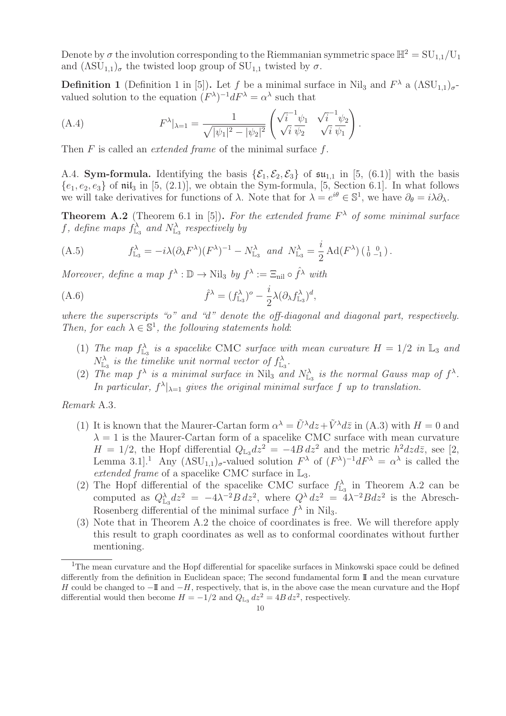Denote by  $\sigma$  the involution corresponding to the Riemmanian symmetric space  $\mathbb{H}^2 = SU_{1,1}/U_1$ and  $(\Lambda SU_{1,1})_{\sigma}$  the twisted loop group of  $SU_{1,1}$  twisted by  $\sigma$ .

**Definition 1** (Definition 1 in [5]). Let f be a minimal surface in Nil<sub>3</sub> and  $F^{\lambda}$  a  $(\Lambda SU_{1,1})_{\sigma}$ valued solution to the equation  $(F^{\lambda})^{-1} dF^{\lambda} = \alpha^{\lambda}$  such that

(A.4) 
$$
F^{\lambda}|_{\lambda=1} = \frac{1}{\sqrt{|\psi_1|^2 - |\psi_2|^2}} \begin{pmatrix} \sqrt{i}^{-1} \psi_1 & \sqrt{i}^{-1} \psi_2 \\ \sqrt{i} \ \overline{\psi_2} & \sqrt{i} \ \overline{\psi_1} \end{pmatrix}.
$$

Then  $F$  is called an *extended frame* of the minimal surface  $f$ .

A.4. **Sym-formula.** Identifying the basis  $\{\mathcal{E}_1, \mathcal{E}_2, \mathcal{E}_3\}$  of  $\mathfrak{su}_{1,1}$  in [5, (6.1)] with the basis  ${e_1, e_2, e_3}$  of nil<sub>3</sub> in [5, (2.1)], we obtain the Sym-formula, [5, Section 6.1]. In what follows we will take derivatives for functions of  $\lambda$ . Note that for  $\lambda = e^{i\theta} \in \mathbb{S}^1$ , we have  $\partial_{\theta} = i\lambda \partial_{\lambda}$ .

**Theorem A.2** (Theorem 6.1 in [5]). For the extended frame  $F^{\lambda}$  of some minimal surface f, define maps  $f_{\mathbb{L}_3}^{\lambda}$  and  $N_{\mathbb{L}_3}^{\lambda}$  respectively by

(A.5) 
$$
f_{\mathbb{L}_3}^{\lambda} = -i\lambda(\partial_{\lambda} F^{\lambda})(F^{\lambda})^{-1} - N_{\mathbb{L}_3}^{\lambda} \text{ and } N_{\mathbb{L}_3}^{\lambda} = \frac{i}{2} \operatorname{Ad}(F^{\lambda})(\begin{bmatrix} 1 & 0 \\ 0 & -1 \end{bmatrix}).
$$

Moreover, define a map  $f^{\lambda}: \mathbb{D} \to \text{Nil}_3$  by  $f^{\lambda} := \Xi_{\text{nil}} \circ \hat{f}^{\lambda}$  with

(A.6) 
$$
\hat{f}^{\lambda} = (f^{\lambda}_{\mathbb{L}_3})^o - \frac{i}{2} \lambda (\partial_{\lambda} f^{\lambda}_{\mathbb{L}_3})^d,
$$

where the superscripts "o" and "d" denote the off-diagonal and diagonal part, respectively. Then, for each  $\lambda \in \mathbb{S}^1$ , the following statements hold:

- (1) The map  $f_{\mathbb{L}_3}^{\lambda}$  is a spacelike CMC surface with mean curvature  $H = 1/2$  in  $\mathbb{L}_3$  and  $N^{\lambda}_{\mathbb{L}_3}$  is the timelike unit normal vector of  $f^{\lambda}_{\mathbb{L}_3}$ .
- (2) The map  $f^{\lambda}$  is a minimal surface in Nil<sub>3</sub> and  $N^{\lambda}_{\mathbb{L}_3}$  is the normal Gauss map of  $f^{\lambda}$ . In particular,  $f^{\lambda}|_{\lambda=1}$  gives the original minimal surface f up to translation.

Remark A.3.

- (1) It is known that the Maurer-Cartan form  $\alpha^{\lambda} = \tilde{U}^{\lambda} dz + \tilde{V}^{\lambda} d\bar{z}$  in (A.3) with  $H = 0$  and  $\lambda = 1$  is the Maurer-Cartan form of a spacelike CMC surface with mean curvature  $H = 1/2$ , the Hopf differential  $Q_{\mathbb{L}_3} dz^2 = -4B dz^2$  and the metric  $h^2 dz d\bar{z}$ , see [2, Lemma 3.1.<sup>1</sup> Any  $(\Lambda \text{SU}_{1,1})_{\sigma}$ -valued solution  $F^{\lambda}$  of  $(F^{\lambda})^{-1} dF^{\lambda} = \alpha^{\lambda}$  is called the extended frame of a spacelike CMC surface in L3.
- (2) The Hopf differential of the spacelike CMC surface  $f_{\mathbb{L}_3}^{\lambda}$  in Theorem A.2 can be computed as  $Q_{\mathbb{L}_3}^{\lambda} dz^2 = -4\lambda^{-2}B dz^2$ , where  $Q^{\lambda} dz^2 = 4\lambda^{-2}B dz^2$  is the Abresch-Rosenberg differential of the minimal surface  $f^{\lambda}$  in Nil<sub>3</sub>.
- (3) Note that in Theorem A.2 the choice of coordinates is free. We will therefore apply this result to graph coordinates as well as to conformal coordinates without further mentioning.

<sup>&</sup>lt;sup>1</sup>The mean curvature and the Hopf differential for spacelike surfaces in Minkowski space could be defined differently from the definition in Euclidean space; The second fundamental form II and the mean curvature H could be changed to  $-\mathbb{I}$  and  $-H$ , respectively, that is, in the above case the mean curvature and the Hopf differential would then become  $H = -1/2$  and  $Q_{\mathbb{L}_3} dz^2 = 4B dz^2$ , respectively.